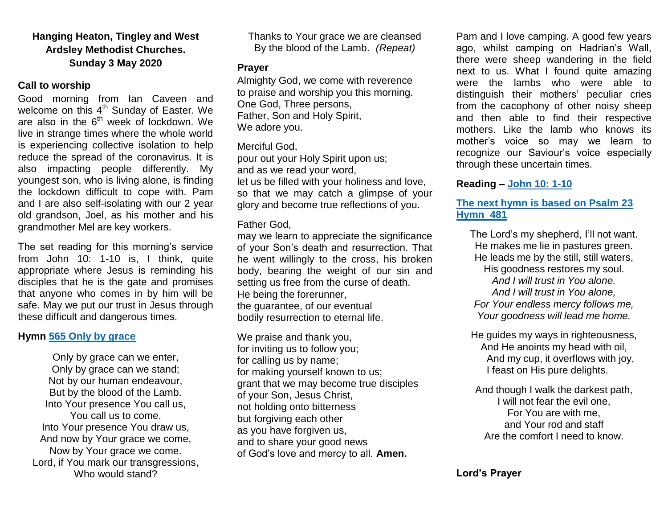# **Hanging Heaton, Tingley and West Ardsley Methodist Churches. Sunday 3 May 2020**

## **Call to worship**

Good morning from Ian Caveen and welcome on this 4<sup>th</sup> Sunday of Easter. We are also in the  $6<sup>th</sup>$  week of lockdown. We live in strange times where the whole world is experiencing collective isolation to help reduce the spread of the coronavirus. It is also impacting people differently. My youngest son, who is living alone, is finding the lockdown difficult to cope with. Pam and I are also self-isolating with our 2 year old grandson, Joel, as his mother and his grandmother Mel are key workers.

The set reading for this morning's service from John 10: 1-10 is, I think, quite appropriate where Jesus is reminding his disciples that he is the gate and promises that anyone who comes in by him will be safe. May we put our trust in Jesus through these difficult and dangerous times.

## **Hymn [565 Only by grace](https://www.youtube.com/watch?v=8xf3ODX2dfU)**

Only by grace can we enter, Only by grace can we stand; Not by our human endeavour, But by the blood of the Lamb. Into Your presence You call us, You call us to come. Into Your presence You draw us, And now by Your grace we come, Now by Your grace we come. Lord, if You mark our transgressions, Who would stand?

Thanks to Your grace we are cleansed By the blood of the Lamb. *(Repeat)*

## **Prayer**

Almighty God, we come with reverence to praise and worship you this morning. One God, Three persons, Father, Son and Holy Spirit, We adore you.

## Merciful God,

pour out your Holy Spirit upon us; and as we read your word, let us be filled with your holiness and love, so that we may catch a glimpse of your glory and become true reflections of you.

## Father God,

may we learn to appreciate the significance of your Son's death and resurrection. That he went willingly to the cross, his broken body, bearing the weight of our sin and setting us free from the curse of death. He being the forerunner, the guarantee, of our eventual bodily resurrection to eternal life.

We praise and thank you, for inviting us to follow you; for calling us by name; for making yourself known to us; grant that we may become true disciples of your Son, Jesus Christ, not holding onto bitterness but forgiving each other as you have forgiven us, and to share your good news of God's love and mercy to all. **Amen.**

Pam and I love camping. A good few years ago, whilst camping on Hadrian's Wall, there were sheep wandering in the field next to us. What I found quite amazing were the lambs who were able to distinguish their mothers' peculiar cries from the cacophony of other noisy sheep and then able to find their respective mothers. Like the lamb who knows its mother's voice so may we learn to recognize our Saviour's voice especially through these uncertain times.

# **Reading – [John 10: 1-10](https://www.biblegateway.com/passage/?search=John+10%3A+1-10&version=NIV)**

## **[The next hymn is based on Psalm 23](https://www.youtube.com/watch?v=pN4tPkX0MG0) [Hymn 481](https://www.youtube.com/watch?v=pN4tPkX0MG0)**

The Lord's my shepherd, I'll not want. He makes me lie in pastures green. He leads me by the still, still waters, His goodness restores my soul. *And I will trust in You alone. And I will trust in You alone, For Your endless mercy follows me, Your goodness will lead me home.*

He guides my ways in righteousness, And He anoints my head with oil, And my cup, it overflows with joy, I feast on His pure delights.

And though I walk the darkest path, I will not fear the evil one, For You are with me, and Your rod and staff Are the comfort I need to know.